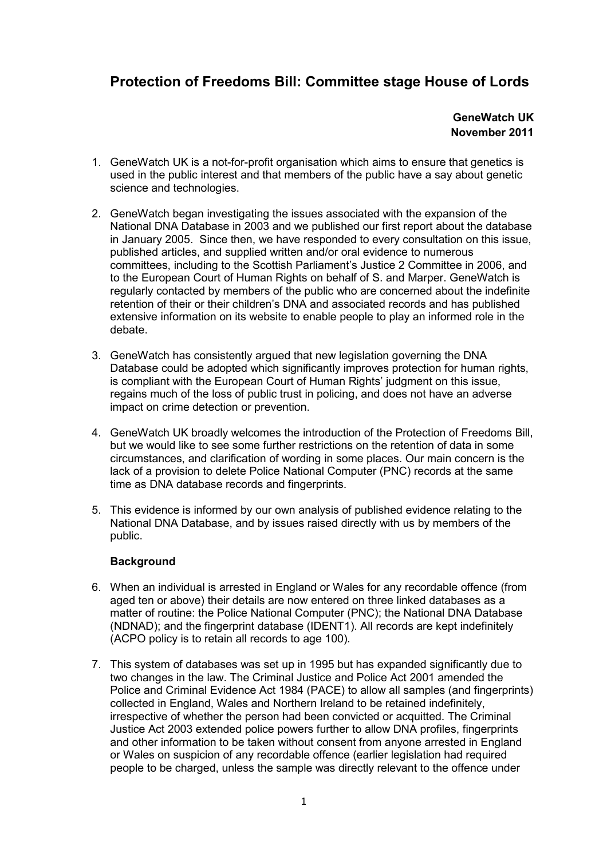# **Protection of Freedoms Bill: Committee stage House of Lords**

**GeneWatch UK November 2011** 

- 1. GeneWatch UK is a not-for-profit organisation which aims to ensure that genetics is used in the public interest and that members of the public have a say about genetic science and technologies.
- 2. GeneWatch began investigating the issues associated with the expansion of the National DNA Database in 2003 and we published our first report about the database in January 2005. Since then, we have responded to every consultation on this issue, published articles, and supplied written and/or oral evidence to numerous committees, including to the Scottish Parliament's Justice 2 Committee in 2006, and to the European Court of Human Rights on behalf of S. and Marper. GeneWatch is regularly contacted by members of the public who are concerned about the indefinite retention of their or their children's DNA and associated records and has published extensive information on its website to enable people to play an informed role in the debate.
- 3. GeneWatch has consistently argued that new legislation governing the DNA Database could be adopted which significantly improves protection for human rights, is compliant with the European Court of Human Rights' judgment on this issue, regains much of the loss of public trust in policing, and does not have an adverse impact on crime detection or prevention.
- 4. GeneWatch UK broadly welcomes the introduction of the Protection of Freedoms Bill, but we would like to see some further restrictions on the retention of data in some circumstances, and clarification of wording in some places. Our main concern is the lack of a provision to delete Police National Computer (PNC) records at the same time as DNA database records and fingerprints.
- 5. This evidence is informed by our own analysis of published evidence relating to the National DNA Database, and by issues raised directly with us by members of the public.

# **Background**

- 6. When an individual is arrested in England or Wales for any recordable offence (from aged ten or above) their details are now entered on three linked databases as a matter of routine: the Police National Computer (PNC); the National DNA Database (NDNAD); and the fingerprint database (IDENT1). All records are kept indefinitely (ACPO policy is to retain all records to age 100).
- 7. This system of databases was set up in 1995 but has expanded significantly due to two changes in the law. The Criminal Justice and Police Act 2001 amended the Police and Criminal Evidence Act 1984 (PACE) to allow all samples (and fingerprints) collected in England, Wales and Northern Ireland to be retained indefinitely, irrespective of whether the person had been convicted or acquitted. The Criminal Justice Act 2003 extended police powers further to allow DNA profiles, fingerprints and other information to be taken without consent from anyone arrested in England or Wales on suspicion of any recordable offence (earlier legislation had required people to be charged, unless the sample was directly relevant to the offence under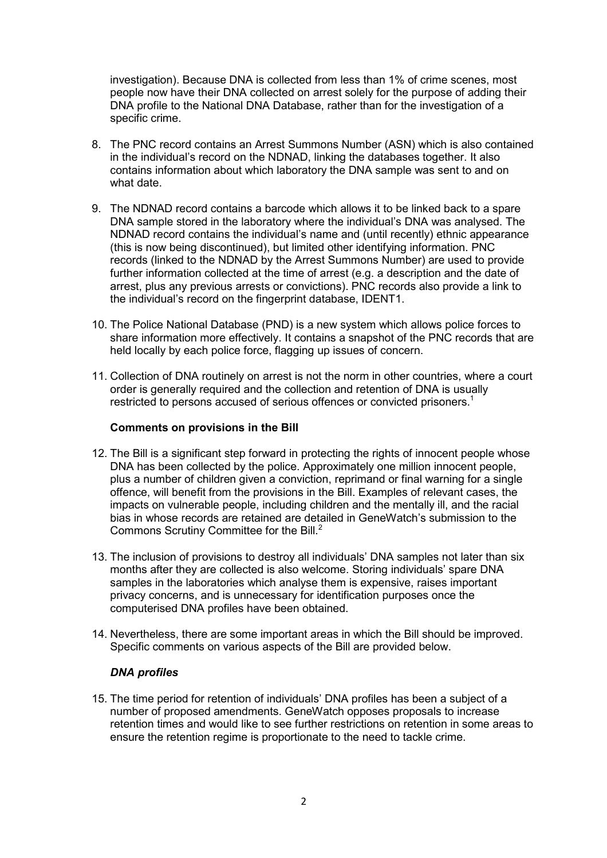investigation). Because DNA is collected from less than 1% of crime scenes, most people now have their DNA collected on arrest solely for the purpose of adding their DNA profile to the National DNA Database, rather than for the investigation of a specific crime.

- 8. The PNC record contains an Arrest Summons Number (ASN) which is also contained in the individual's record on the NDNAD, linking the databases together. It also contains information about which laboratory the DNA sample was sent to and on what date.
- 9. The NDNAD record contains a barcode which allows it to be linked back to a spare DNA sample stored in the laboratory where the individual's DNA was analysed. The NDNAD record contains the individual's name and (until recently) ethnic appearance (this is now being discontinued), but limited other identifying information. PNC records (linked to the NDNAD by the Arrest Summons Number) are used to provide further information collected at the time of arrest (e.g. a description and the date of arrest, plus any previous arrests or convictions). PNC records also provide a link to the individual's record on the fingerprint database, IDENT1.
- 10. The Police National Database (PND) is a new system which allows police forces to share information more effectively. It contains a snapshot of the PNC records that are held locally by each police force, flagging up issues of concern.
- 11. Collection of DNA routinely on arrest is not the norm in other countries, where a court order is generally required and the collection and retention of DNA is usually restricted to persons accused of serious offences or convicted prisoners[.](#page-7-0)<sup>1</sup>

# **Comments on provisions in the Bill**

- 12. The Bill is a significant step forward in protecting the rights of innocent people whose DNA has been collected by the police. Approximately one million innocent people, plus a number of children given a conviction, reprimand or final warning for a single offence, will benefit from the provisions in the Bill. Examples of relevant cases, the impacts on vulnerable people, including children and the mentally ill, and the racial bias in whose records are retained are detailed in GeneWatch's submission to the Commons Scrutiny Committee for the Bill.<sup>[2](#page-7-0)</sup>
- 13. The inclusion of provisions to destroy all individuals' DNA samples not later than six months after they are collected is also welcome. Storing individuals' spare DNA samples in the laboratories which analyse them is expensive, raises important privacy concerns, and is unnecessary for identification purposes once the computerised DNA profiles have been obtained.
- 14. Nevertheless, there are some important areas in which the Bill should be improved. Specific comments on various aspects of the Bill are provided below.

# *DNA profiles*

15. The time period for retention of individuals' DNA profiles has been a subject of a number of proposed amendments. GeneWatch opposes proposals to increase retention times and would like to see further restrictions on retention in some areas to ensure the retention regime is proportionate to the need to tackle crime.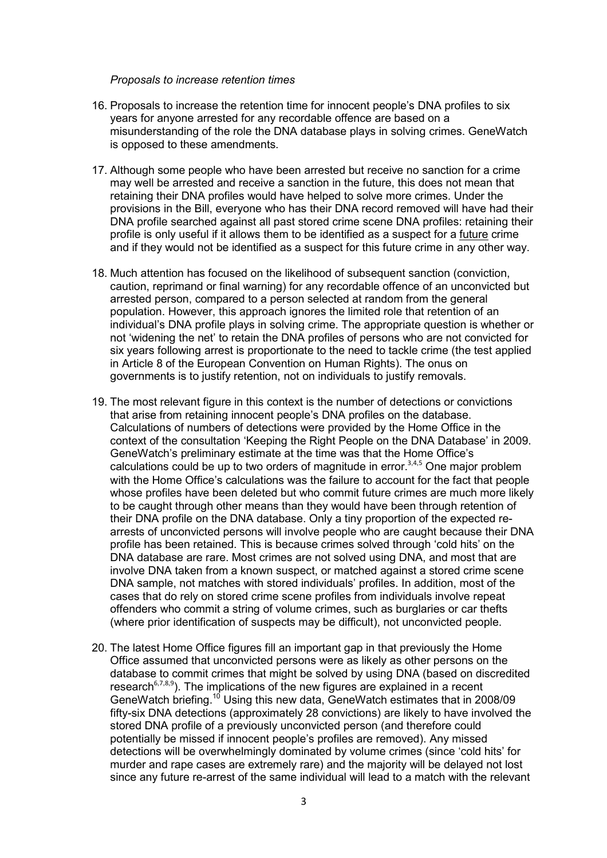#### <span id="page-2-0"></span>*Proposals to increase retention times*

- 16. Proposals to increase the retention time for innocent people's DNA profiles to six years for anyone arrested for any recordable offence are based on a misunderstanding of the role the DNA database plays in solving crimes. GeneWatch is opposed to these amendments.
- 17. Although some people who have been arrested but receive no sanction for a crime may well be arrested and receive a sanction in the future, this does not mean that retaining their DNA profiles would have helped to solve more crimes. Under the provisions in the Bill, everyone who has their DNA record removed will have had their DNA profile searched against all past stored crime scene DNA profiles: retaining their profile is only useful if it allows them to be identified as a suspect for a future crime and if they would not be identified as a suspect for this future crime in any other way.
- 18. Much attention has focused on the likelihood of subsequent sanction (conviction, caution, reprimand or final warning) for any recordable offence of an unconvicted but arrested person, compared to a person selected at random from the general population. However, this approach ignores the limited role that retention of an individual's DNA profile plays in solving crime. The appropriate question is whether or not 'widening the net' to retain the DNA profiles of persons who are not convicted for six years following arrest is proportionate to the need to tackle crime (the test applied in Article 8 of the European Convention on Human Rights). The onus on governments is to justify retention, not on individuals to justify removals.
- 19. The most relevant figure in this context is the number of detections or convictions that arise from retaining innocent people's DNA profiles on the database. Calculations of numbers of detections were provided by the Home Office in the context of the consultation 'Keeping the Right People on the DNA Database' in 2009. GeneWatch's preliminary estimate at the time was that the Home Office's calculations could be up to two orders of magnitude in error. $3,4,5$  $3,4,5$  $3,4,5$  $3,4,5$  $3,4,5$  One major problem with the Home Office's calculations was the failure to account for the fact that people whose profiles have been deleted but who commit future crimes are much more likely to be caught through other means than they would have been through retention of their DNA profile on the DNA database. Only a tiny proportion of the expected rearrests of unconvicted persons will involve people who are caught because their DNA profile has been retained. This is because crimes solved through 'cold hits' on the DNA database are rare. Most crimes are not solved using DNA, and most that are involve DNA taken from a known suspect, or matched against a stored crime scene DNA sample, not matches with stored individuals' profiles. In addition, most of the cases that do rely on stored crime scene profiles from individuals involve repeat offenders who commit a string of volume crimes, such as burglaries or car thefts (where prior identification of suspects may be difficult), not unconvicted people.
- 20. The latest Home Office figures fill an important gap in that previously the Home Office assumed that unconvicted persons were as likely as other persons on the database to commit crimes that might be solved by using DNA (based on discredited research<sup>[6](#page-7-0),[7](#page-7-0)[,](#page-7-0)8,9</sup>[\)](#page-7-0). The implications of the new figures are explained in a recent GeneWatch briefing.<sup>10</sup> Using this new data, GeneWatch estimates that in 2008/09 fifty-six DNA detections (approximately 28 convictions) are likely to have involved the stored DNA profile of a previously unconvicted person (and therefore could potentially be missed if innocent people's profiles are removed). Any missed detections will be overwhelmingly dominated by volume crimes (since 'cold hits' for murder and rape cases are extremely rare) and the majority will be delayed not lost since any future re-arrest of the same individual will lead to a match with the relevant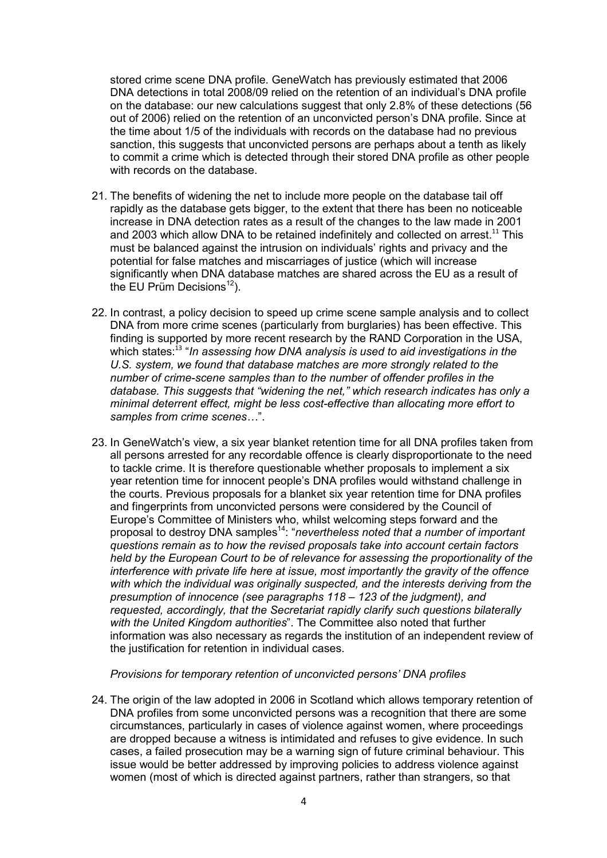stored crime scene DNA profile. GeneWatch has previously estimated that 2006 DNA detections in total 2008/09 relied on the retention of an individual's DNA profile on the database: our new calculations suggest that only 2.8% of these detections (56 out of 2006) relied on the retention of an unconvicted person's DNA profile. Since at the time about 1/5 of the individuals with records on the database had no previous sanction, this suggests that unconvicted persons are perhaps about a tenth as likely to commit a crime which is detected through their stored DNA profile as other people with records on the database.

- 21. The benefits of widening the net to include more people on the database tail off rapidly as the database gets bigger, to the extent that there has been no noticeable increase in DNA detection rates as a result of the changes to the law made in 2001 and 2003 which allow DNA to be retained indefinitely and collected on arrest.<sup>[11](#page-2-0)</sup> This must be balanced against the intrusion on individuals' rights and privacy and the potential for false matches and miscarriages of justice (which will increase significantly when DNA database matches are shared across the EU as a result of the EU Prüm Decisions $^{12}$  $^{12}$  $^{12}$ ).
- 22. In contrast, a policy decision to speed up crime scene sample analysis and to collect DNA from more crime scenes (particularly from burglaries) has been effective. This finding is supported by more recent research by the RAND Corporation in the USA, which states:<sup>[13](#page-2-0)</sup> "*In assessing how DNA analysis is used to aid investigations in the U.S. system, we found that database matches are more strongly related to the number of crime-scene samples than to the number of offender profiles in the database. This suggests that "widening the net," which research indicates has only a minimal deterrent effect, might be less cost-effective than allocating more effort to samples from crime scenes…*".
- 23. In GeneWatch's view, a six year blanket retention time for all DNA profiles taken from all persons arrested for any recordable offence is clearly disproportionate to the need to tackle crime. It is therefore questionable whether proposals to implement a six year retention time for innocent people's DNA profiles would withstand challenge in the courts. Previous proposals for a blanket six year retention time for DNA profiles and fingerprints from unconvicted persons were considered by the Council of Europe's Committee of Ministers who, whilst welcoming steps forward and the proposal to destroy DNA samples[14](#page-2-0): "*nevertheless noted that a number of important questions remain as to how the revised proposals take into account certain factors held by the European Court to be of relevance for assessing the proportionality of the interference with private life here at issue, most importantly the gravity of the offence with which the individual was originally suspected, and the interests deriving from the presumption of innocence (see paragraphs 118 – 123 of the judgment), and requested, accordingly, that the Secretariat rapidly clarify such questions bilaterally with the United Kingdom authorities*". The Committee also noted that further information was also necessary as regards the institution of an independent review of the justification for retention in individual cases.

# *Provisions for temporary retention of unconvicted persons' DNA profiles*

24. The origin of the law adopted in 2006 in Scotland which allows temporary retention of DNA profiles from some unconvicted persons was a recognition that there are some circumstances, particularly in cases of violence against women, where proceedings are dropped because a witness is intimidated and refuses to give evidence. In such cases, a failed prosecution may be a warning sign of future criminal behaviour. This issue would be better addressed by improving policies to address violence against women (most of which is directed against partners, rather than strangers, so that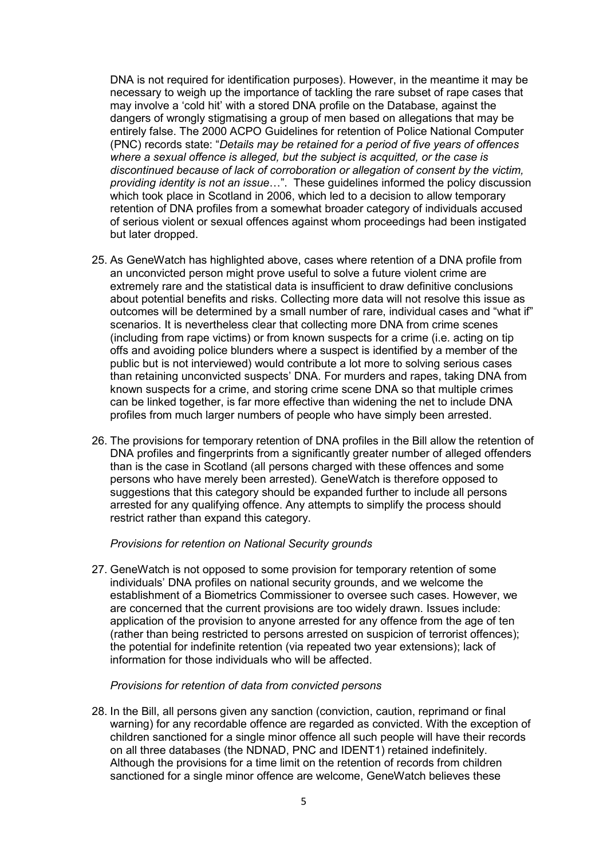DNA is not required for identification purposes). However, in the meantime it may be necessary to weigh up the importance of tackling the rare subset of rape cases that may involve a 'cold hit' with a stored DNA profile on the Database, against the dangers of wrongly stigmatising a group of men based on allegations that may be entirely false. The 2000 ACPO Guidelines for retention of Police National Computer (PNC) records state: "*Details may be retained for a period of five years of offences where a sexual offence is alleged, but the subject is acquitted, or the case is discontinued because of lack of corroboration or allegation of consent by the victim, providing identity is not an issue*…". These guidelines informed the policy discussion which took place in Scotland in 2006, which led to a decision to allow temporary retention of DNA profiles from a somewhat broader category of individuals accused of serious violent or sexual offences against whom proceedings had been instigated but later dropped.

- 25. As GeneWatch has highlighted above, cases where retention of a DNA profile from an unconvicted person might prove useful to solve a future violent crime are extremely rare and the statistical data is insufficient to draw definitive conclusions about potential benefits and risks. Collecting more data will not resolve this issue as outcomes will be determined by a small number of rare, individual cases and "what if" scenarios. It is nevertheless clear that collecting more DNA from crime scenes (including from rape victims) or from known suspects for a crime (i.e. acting on tip offs and avoiding police blunders where a suspect is identified by a member of the public but is not interviewed) would contribute a lot more to solving serious cases than retaining unconvicted suspects' DNA. For murders and rapes, taking DNA from known suspects for a crime, and storing crime scene DNA so that multiple crimes can be linked together, is far more effective than widening the net to include DNA profiles from much larger numbers of people who have simply been arrested.
- 26. The provisions for temporary retention of DNA profiles in the Bill allow the retention of DNA profiles and fingerprints from a significantly greater number of alleged offenders than is the case in Scotland (all persons charged with these offences and some persons who have merely been arrested). GeneWatch is therefore opposed to suggestions that this category should be expanded further to include all persons arrested for any qualifying offence. Any attempts to simplify the process should restrict rather than expand this category.

# *Provisions for retention on National Security grounds*

27. GeneWatch is not opposed to some provision for temporary retention of some individuals' DNA profiles on national security grounds, and we welcome the establishment of a Biometrics Commissioner to oversee such cases. However, we are concerned that the current provisions are too widely drawn. Issues include: application of the provision to anyone arrested for any offence from the age of ten (rather than being restricted to persons arrested on suspicion of terrorist offences); the potential for indefinite retention (via repeated two year extensions); lack of information for those individuals who will be affected.

#### *Provisions for retention of data from convicted persons*

28. In the Bill, all persons given any sanction (conviction, caution, reprimand or final warning) for any recordable offence are regarded as convicted. With the exception of children sanctioned for a single minor offence all such people will have their records on all three databases (the NDNAD, PNC and IDENT1) retained indefinitely. Although the provisions for a time limit on the retention of records from children sanctioned for a single minor offence are welcome, GeneWatch believes these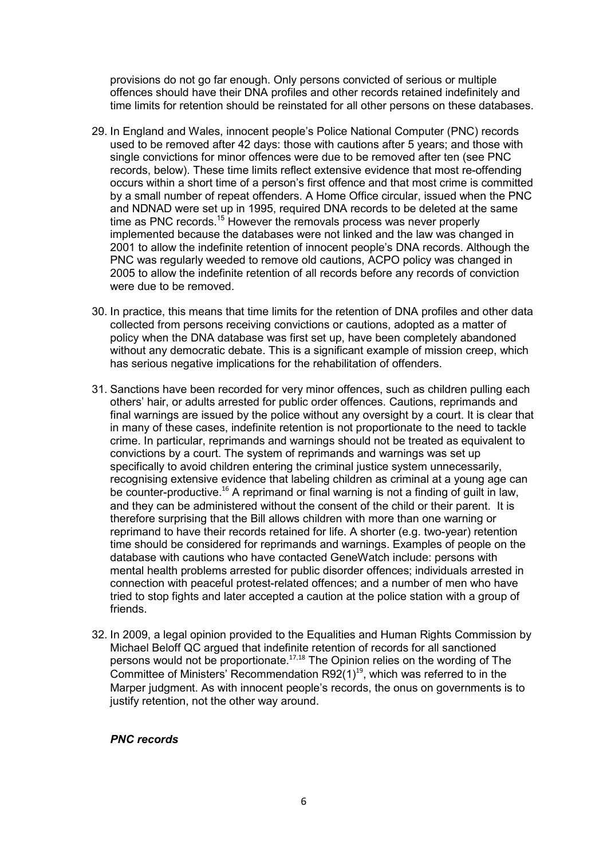provisions do not go far enough. Only persons convicted of serious or multiple offences should have their DNA profiles and other records retained indefinitely and time limits for retention should be reinstated for all other persons on these databases.

- 29. In England and Wales, innocent people's Police National Computer (PNC) records used to be removed after 42 days: those with cautions after 5 years; and those with single convictions for minor offences were due to be removed after ten (see PNC records, below). These time limits reflect extensive evidence that most re-offending occurs within a short time of a person's first offence and that most crime is committed by a small number of repeat offenders. A Home Office circular, issued when the PNC and NDNAD were set up in 1995, required DNA records to be deleted at the same time as PNC records.<sup>[15](#page-2-0)</sup> However the removals process was never properly implemented because the databases were not linked and the law was changed in 2001 to allow the indefinite retention of innocent people's DNA records. Although the PNC was regularly weeded to remove old cautions, ACPO policy was changed in 2005 to allow the indefinite retention of all records before any records of conviction were due to be removed.
- 30. In practice, this means that time limits for the retention of DNA profiles and other data collected from persons receiving convictions or cautions, adopted as a matter of policy when the DNA database was first set up, have been completely abandoned without any democratic debate. This is a significant example of mission creep, which has serious negative implications for the rehabilitation of offenders.
- 31. Sanctions have been recorded for very minor offences, such as children pulling each others' hair, or adults arrested for public order offences. Cautions, reprimands and final warnings are issued by the police without any oversight by a court. It is clear that in many of these cases, indefinite retention is not proportionate to the need to tackle crime. In particular, reprimands and warnings should not be treated as equivalent to convictions by a court. The system of reprimands and warnings was set up specifically to avoid children entering the criminal justice system unnecessarily, recognising extensive evidence that labeling children as criminal at a young age can be counter-productive.<sup>[16](#page-2-0)</sup> A reprimand or final warning is not a finding of guilt in law, and they can be administered without the consent of the child or their parent. It is therefore surprising that the Bill allows children with more than one warning or reprimand to have their records retained for life. A shorter (e.g. two-year) retention time should be considered for reprimands and warnings. Examples of people on the database with cautions who have contacted GeneWatch include: persons with mental health problems arrested for public disorder offences; individuals arrested in connection with peaceful protest-related offences; and a number of men who have tried to stop fights and later accepted a caution at the police station with a group of friends.
- 32. In 2009, a legal opinion provided to the Equalities and Human Rights Commission by Michael Beloff QC argued that indefinite retention of records for all sanctioned persons would not be proportionate.[17](#page-2-0),[18](#page-2-0) The Opinion relies on the wording of The Committee of Ministers' Recommendation  $R92(1)^{19}$  $R92(1)^{19}$  $R92(1)^{19}$ , which was referred to in the Marper judgment. As with innocent people's records, the onus on governments is to justify retention, not the other way around.

# *PNC records*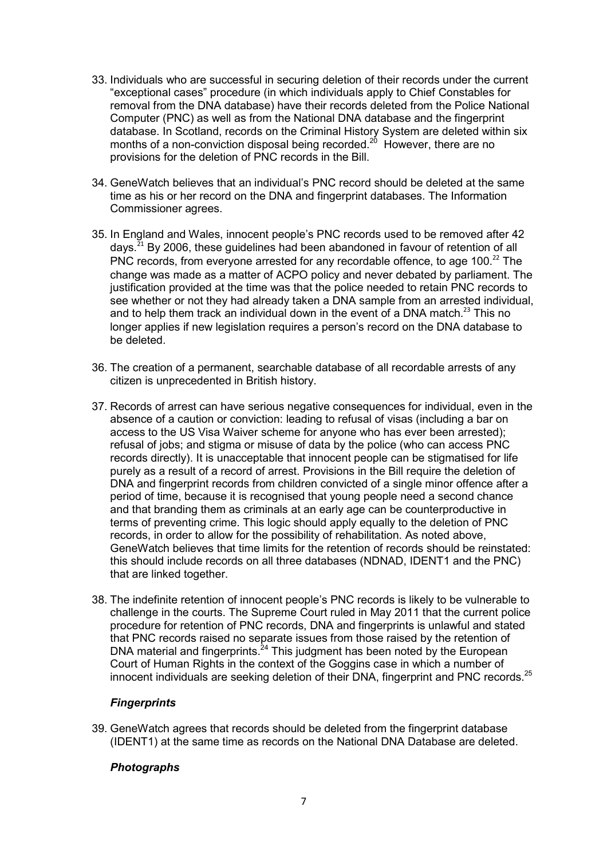- 33. Individuals who are successful in securing deletion of their records under the current "exceptional cases" procedure (in which individuals apply to Chief Constables for removal from the DNA database) have their records deleted from the Police National Computer (PNC) as well as from the National DNA database and the fingerprint database. In Scotland, records on the Criminal History System are deleted within six months of a non-conviction disposal being recorded.<sup>[20](#page-2-0)</sup> However, there are no provisions for the deletion of PNC records in the Bill.
- 34. GeneWatch believes that an individual's PNC record should be deleted at the same time as his or her record on the DNA and fingerprint databases. The Information Commissioner agrees.
- 35. In England and Wales, innocent people's PNC records used to be removed after 42 days.[21](#page-2-0) By 2006, these guidelines had been abandoned in favour of retention of all PNC records, from everyone arrested for any recordable offence, to age 100.<sup>[22](#page-2-0)</sup> The change was made as a matter of ACPO policy and never debated by parliament. The justification provided at the time was that the police needed to retain PNC records to see whether or not they had already taken a DNA sample from an arrested individual, and to help them track an individual down in the event of a DNA match.<sup>[23](#page-2-0)</sup> This no longer applies if new legislation requires a person's record on the DNA database to be deleted.
- 36. The creation of a permanent, searchable database of all recordable arrests of any citizen is unprecedented in British history.
- 37. Records of arrest can have serious negative consequences for individual, even in the absence of a caution or conviction: leading to refusal of visas (including a bar on access to the US Visa Waiver scheme for anyone who has ever been arrested); refusal of jobs; and stigma or misuse of data by the police (who can access PNC records directly). It is unacceptable that innocent people can be stigmatised for life purely as a result of a record of arrest. Provisions in the Bill require the deletion of DNA and fingerprint records from children convicted of a single minor offence after a period of time, because it is recognised that young people need a second chance and that branding them as criminals at an early age can be counterproductive in terms of preventing crime. This logic should apply equally to the deletion of PNC records, in order to allow for the possibility of rehabilitation. As noted above, GeneWatch believes that time limits for the retention of records should be reinstated: this should include records on all three databases (NDNAD, IDENT1 and the PNC) that are linked together.
- 38. The indefinite retention of innocent people's PNC records is likely to be vulnerable to challenge in the courts. The Supreme Court ruled in May 2011 that the current police procedure for retention of PNC records, DNA and fingerprints is unlawful and stated that PNC records raised no separate issues from those raised by the retention of DNA material and fingerprints. $24$  This judgment has been noted by the European Court of Human Rights in the context of the Goggins case in which a number of innocent individuals are seeking deletion of their DNA, fingerprint and PNC records.<sup>[25](#page-2-0)</sup>

# *Fingerprints*

39. GeneWatch agrees that records should be deleted from the fingerprint database (IDENT1) at the same time as records on the National DNA Database are deleted.

# *Photographs*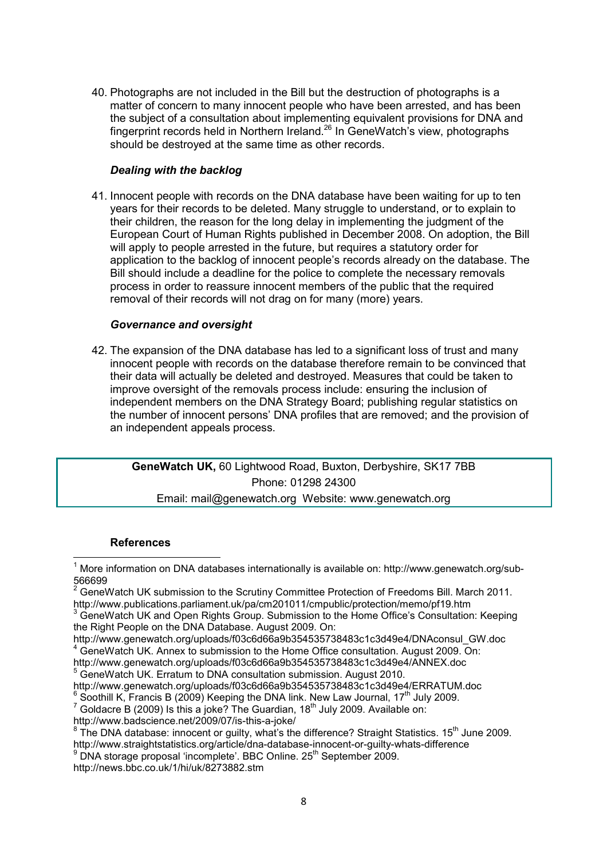<span id="page-7-0"></span>40. Photographs are not included in the Bill but the destruction of photographs is a matter of concern to many innocent people who have been arrested, and has been the subject of a consultation about implementing equivalent provisions for DNA and fingerprint records held in Northern Ireland.[26](#page-2-0) In GeneWatch's view, photographs should be destroyed at the same time as other records.

# *Dealing with the backlog*

41. Innocent people with records on the DNA database have been waiting for up to ten years for their records to be deleted. Many struggle to understand, or to explain to their children, the reason for the long delay in implementing the judgment of the European Court of Human Rights published in December 2008. On adoption, the Bill will apply to people arrested in the future, but requires a statutory order for application to the backlog of innocent people's records already on the database. The Bill should include a deadline for the police to complete the necessary removals process in order to reassure innocent members of the public that the required removal of their records will not drag on for many (more) years.

# *Governance and oversight*

42. The expansion of the DNA database has led to a significant loss of trust and many innocent people with records on the database therefore remain to be convinced that their data will actually be deleted and destroyed. Measures that could be taken to improve oversight of the removals process include: ensuring the inclusion of independent members on the DNA Strategy Board; publishing regular statistics on the number of innocent persons' DNA profiles that are removed; and the provision of an independent appeals process.

**GeneWatch UK,** 60 Lightwood Road, Buxton, Derbyshire, SK17 7BB Phone: 01298 24300

Email: mail@genewatch.org Website: www.genewatch.org

# **References**

l

1 More information on DNA databases internationally is available on: http://www.genewatch.org/sub-566699<br><sup>2</sup> Cepel

 GeneWatch UK submission to the Scrutiny Committee Protection of Freedoms Bill. March 2011. http://www.publications.parliament.uk/pa/cm201011/cmpublic/protection/memo/pf19.htm

<sup>4</sup> GeneWatch UK. Annex to submission to the Home Office consultation. August 2009. On:

http://www.genewatch.org/uploads/f03c6d66a9b354535738483c1c3d49e4/ANNEX.doc

<sup>5</sup> GeneWatch UK. Erratum to DNA consultation submission. August 2010.

http://www.genewatch.org/uploads/f03c6d66a9b354535738483c1c3d49e4/ERRATUM.doc

 $^6$  Soothill K, Francis B (2009) Keeping the DNA link. New Law Journal, 17<sup>th</sup> July 2009.

 $^7$  Goldacre B (2009) Is this a joke? The Guardian, 18<sup>th</sup> July 2009. Available on:

http://www.badscience.net/2009/07/is-this-a-joke/

http://news.bbc.co.uk/1/hi/uk/8273882.stm

 $3$  GeneWatch UK and Open Rights Group. Submission to the Home Office's Consultation: Keeping the Right People on the DNA Database. August 2009. On:

http://www.genewatch.org/uploads/f03c6d66a9b354535738483c1c3d49e4/DNAconsul\_GW.doc

<sup>8</sup> The DNA database: innocent or quilty, what's the difference? Straight Statistics. 15<sup>th</sup> June 2009. http://www.straightstatistics.org/article/dna-database-innocent-or-guilty-whats-difference

<sup>&</sup>lt;sup>9</sup> DNA storage proposal 'incomplete'. BBC Online. 25<sup>th</sup> September 2009.